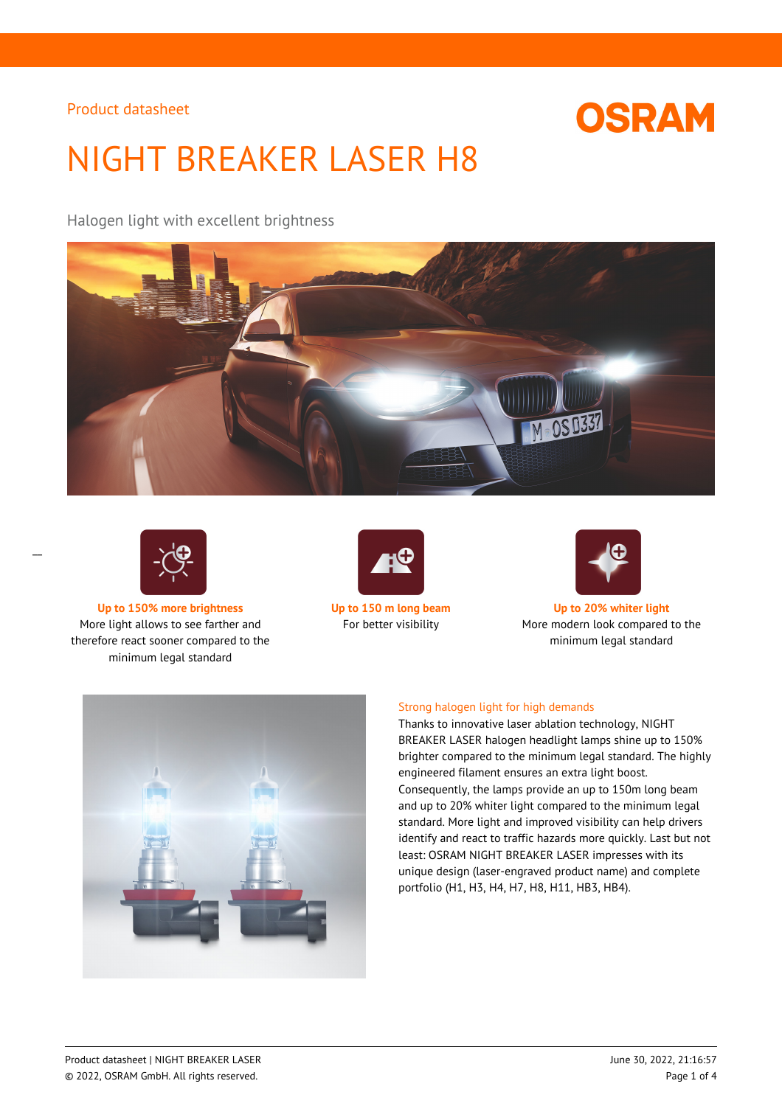# **OSRAM**

# NIGHT BREAKER LASER H8

Halogen light with excellent brightness





 $\overline{a}$ 

**Up to 150% more brightness Up to 150 m long beam Up to 20% whiter light** More light allows to see farther and therefore react sooner compared to the minimum legal standard





For better visibility More modern look compared to the minimum legal standard



## Strong halogen light for high demands

Thanks to innovative laser ablation technology, NIGHT BREAKER LASER halogen headlight lamps shine up to 150% brighter compared to the minimum legal standard. The highly engineered filament ensures an extra light boost. Consequently, the lamps provide an up to 150m long beam and up to 20% whiter light compared to the minimum legal standard. More light and improved visibility can help drivers identify and react to traffic hazards more quickly. Last but not least: OSRAM NIGHT BREAKER LASER impresses with its unique design (laser-engraved product name) and complete portfolio (H1, H3, H4, H7, H8, H11, HB3, HB4).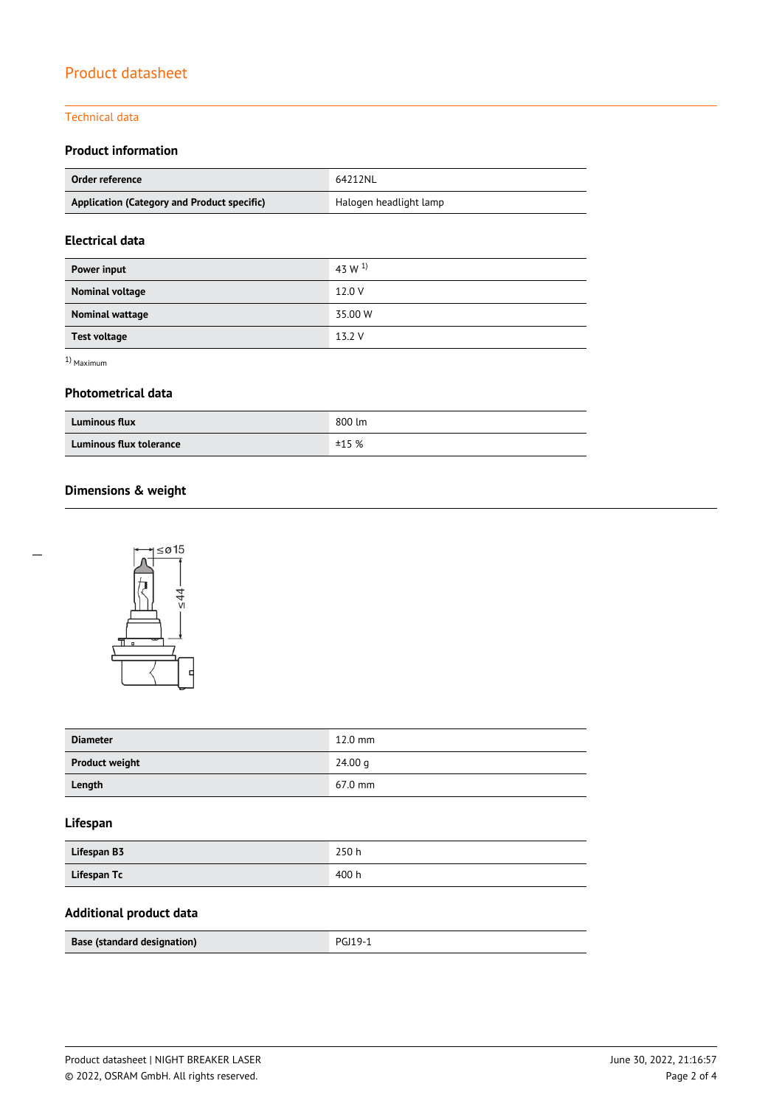## Technical data

## **Product information**

| Order reference                             | 64212NL                |
|---------------------------------------------|------------------------|
| Application (Category and Product specific) | Halogen headlight lamp |

## **Electrical data**

| Power input         | 43 W $^{1}$ |
|---------------------|-------------|
| Nominal voltage     | 12.0 V      |
| Nominal wattage     | 35.00 W     |
| <b>Test voltage</b> | 13.2 V      |

1) Maximum

## **Photometrical data**

| <b>Luminous flux</b>    | 800 lm |
|-------------------------|--------|
| Luminous flux tolerance | ±15%   |

## **Dimensions & weight**



| <b>Diameter</b>       | $12.0$ mm |
|-----------------------|-----------|
| <b>Product weight</b> | 24.00 g   |
| Length                | 67.0 mm   |

## **Lifespan**

| Lifespan B3 | 250h  |
|-------------|-------|
| Lifespan Tc | 400 h |

## **Additional product data**

| Base (standard designation) | <b>PGJ19-1</b> |
|-----------------------------|----------------|
|                             |                |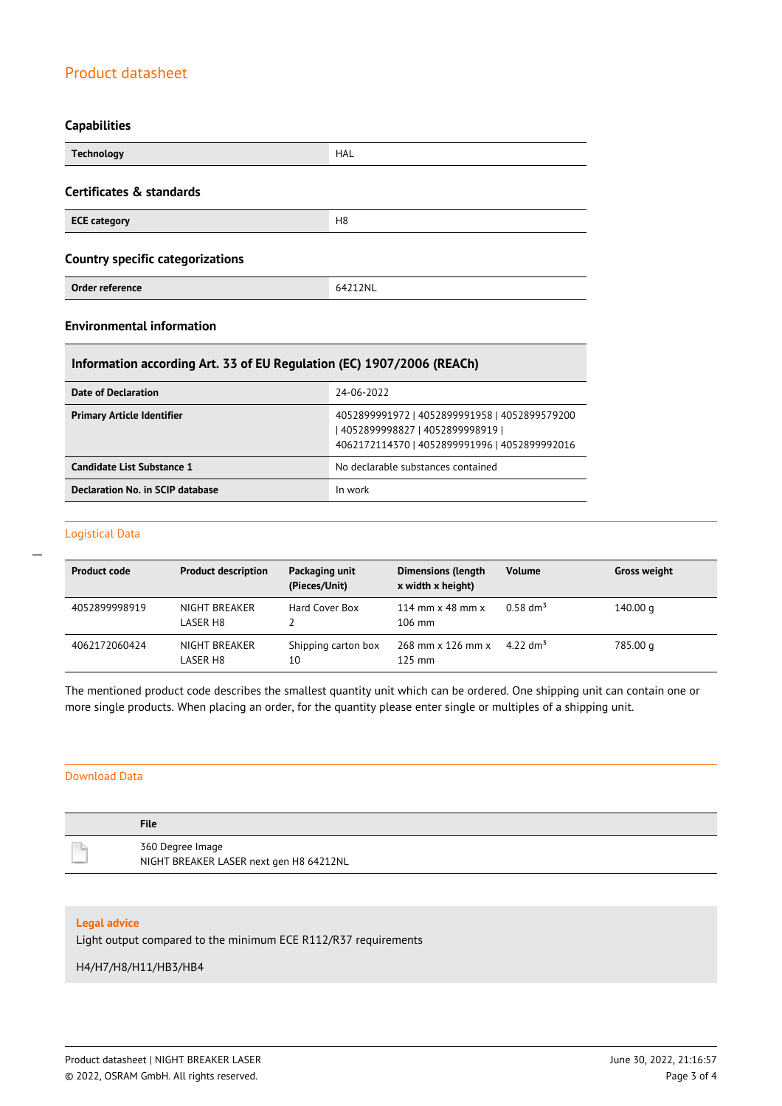## **Capabilities**

| <b>Technology</b>                       | HAL            |
|-----------------------------------------|----------------|
| Certificates & standards                |                |
| <b>ECE category</b>                     | H <sub>8</sub> |
| <b>Country specific categorizations</b> |                |
| Order reference                         | 64212NL        |

## **Environmental information**

## **Information according Art. 33 of EU Regulation (EC) 1907/2006 (REACh)**

| Date of Declaration               | 24-06-2022                                                                                                                          |
|-----------------------------------|-------------------------------------------------------------------------------------------------------------------------------------|
| <b>Primary Article Identifier</b> | 4052899991972   4052899991958   4052899579200<br>  4052899998827   4052899998919  <br>4062172114370   4052899991996   4052899992016 |
| Candidate List Substance 1        | No declarable substances contained                                                                                                  |
| Declaration No. in SCIP database  | In work                                                                                                                             |

#### Logistical Data

 $\overline{a}$ 

| <b>Product code</b> | <b>Product description</b> | Packaging unit<br>(Pieces/Unit) | <b>Dimensions (length</b><br>x width x height)     | <b>Volume</b>        | <b>Gross weight</b> |
|---------------------|----------------------------|---------------------------------|----------------------------------------------------|----------------------|---------------------|
| 4052899998919       | NIGHT BREAKER<br>LASER H8  | Hard Cover Box                  | 114 mm $\times$ 48 mm $\times$<br>$106 \text{ mm}$ | $0.58 \text{ dm}^3$  | 140.00 g            |
| 4062172060424       | NIGHT BREAKER<br>LASER H8  | Shipping carton box<br>10       | 268 mm x 126 mm x<br>$125 \text{ mm}$              | 4.22 dm <sup>3</sup> | 785.00 g            |

The mentioned product code describes the smallest quantity unit which can be ordered. One shipping unit can contain one or more single products. When placing an order, for the quantity please enter single or multiples of a shipping unit.

## Download Data

| <b>File</b>                             |
|-----------------------------------------|
| 360 Degree Image                        |
| NIGHT BREAKER LASER next gen H8 64212NL |

#### **Legal advice**

Light output compared to the minimum ECE R112/R37 requirements

#### H4/H7/H8/H11/HB3/HB4